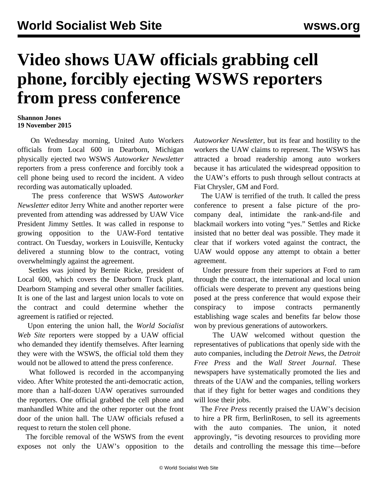## **Video shows UAW officials grabbing cell phone, forcibly ejecting WSWS reporters from press conference**

## **Shannon Jones 19 November 2015**

 On Wednesday morning, United Auto Workers officials from Local 600 in Dearborn, Michigan physically ejected two WSWS *Autoworker Newsletter* reporters from a press conference and forcibly took a cell phone being used to record the incident. A video recording was automatically uploaded.

 The press conference that WSWS *Autoworker Newsletter* editor Jerry White and another reporter were prevented from attending was addressed by UAW Vice President Jimmy Settles. It was called in response to growing opposition to the UAW-Ford tentative contract. On Tuesday, workers in Louisville, Kentucky [delivered a stunning blow](/en/articles/2015/11/19/auto-n19.html) to the contract, voting overwhelmingly against the agreement.

 Settles was joined by Bernie Ricke, president of Local 600, which covers the Dearborn Truck plant, Dearborn Stamping and several other smaller facilities. It is one of the last and largest union locals to vote on the contract and could determine whether the agreement is ratified or rejected.

 Upon entering the union hall, the *World Socialist Web Site* reporters were stopped by a UAW official who demanded they identify themselves. After learning they were with the WSWS, the official told them they would not be allowed to attend the press conference.

 What followed is recorded in the accompanying video. After White protested the anti-democratic action, more than a half-dozen UAW operatives surrounded the reporters. One official grabbed the cell phone and manhandled White and the other reporter out the front door of the union hall. The UAW officials refused a request to return the stolen cell phone.

 The forcible removal of the WSWS from the event exposes not only the UAW's opposition to the *Autoworker Newsletter*, but its fear and hostility to the workers the UAW claims to represent. The WSWS has attracted a broad readership among auto workers because it has articulated the widespread opposition to the UAW's efforts to push through sellout contracts at Fiat Chrysler, GM and Ford.

 The UAW is terrified of the truth. It called the press conference to present a false picture of the procompany deal, intimidate the rank-and-file and blackmail workers into voting "yes." Settles and Ricke insisted that no better deal was possible. They made it clear that if workers voted against the contract, the UAW would oppose any attempt to obtain a better agreement.

 Under pressure from their superiors at Ford to ram through the contract, the international and local union officials were desperate to prevent any questions being posed at the press conference that would expose their conspiracy to impose contracts permanently establishing wage scales and benefits far below those won by previous generations of autoworkers.

 The UAW welcomed without question the representatives of publications that openly side with the auto companies, including the *Detroit News*, the *Detroit Free Press* and the *Wall Street Journal*. These newspapers have systematically promoted the lies and threats of the UAW and the companies, telling workers that if they fight for better wages and conditions they will lose their jobs.

 The *Free Press* recently praised the UAW's decision to hire a PR firm, BerlinRosen, to sell its agreements with the auto companies. The union, it noted approvingly, "is devoting resources to providing more details and controlling the message this time—before